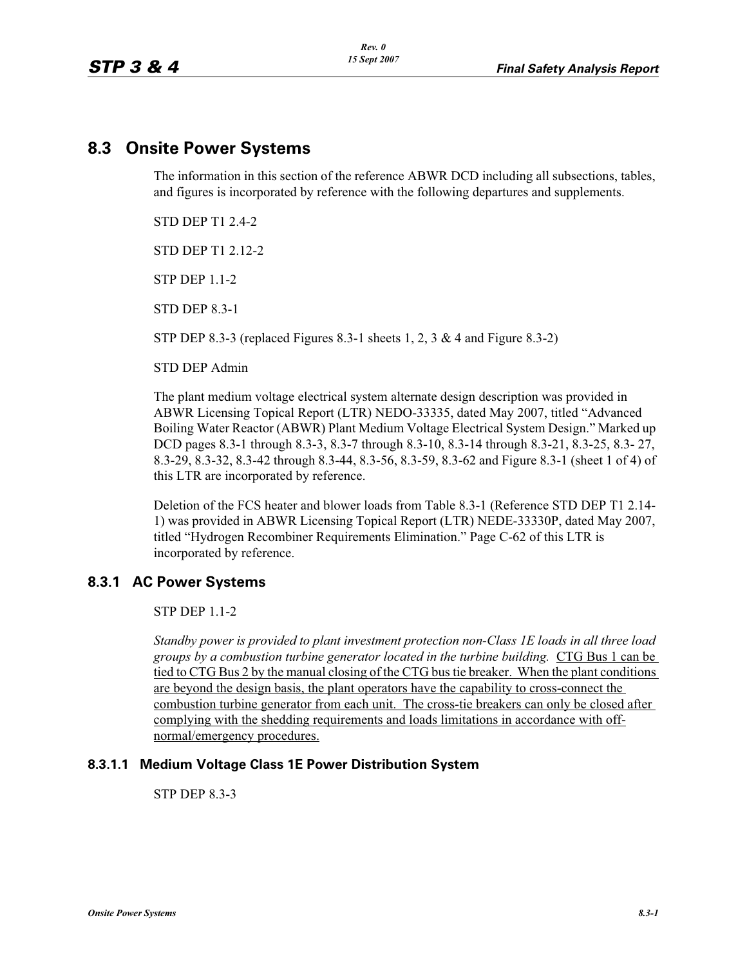# **8.3 Onsite Power Systems**

The information in this section of the reference ABWR DCD including all subsections, tables, and figures is incorporated by reference with the following departures and supplements.

STD DEP T1 2.4-2

STD DEP T1 2.12-2

STP DEP 1.1-2

STD DEP 8.3-1

STP DEP 8.3-3 (replaced Figures 8.3-1 sheets 1, 2, 3 & 4 and Figure 8.3-2)

STD DEP Admin

The plant medium voltage electrical system alternate design description was provided in ABWR Licensing Topical Report (LTR) NEDO-33335, dated May 2007, titled "Advanced Boiling Water Reactor (ABWR) Plant Medium Voltage Electrical System Design." Marked up DCD pages 8.3-1 through 8.3-3, 8.3-7 through 8.3-10, 8.3-14 through 8.3-21, 8.3-25, 8.3- 27, 8.3-29, 8.3-32, 8.3-42 through 8.3-44, 8.3-56, 8.3-59, 8.3-62 and Figure 8.3-1 (sheet 1 of 4) of this LTR are incorporated by reference.

Deletion of the FCS heater and blower loads from Table 8.3-1 (Reference STD DEP T1 2.14- 1) was provided in ABWR Licensing Topical Report (LTR) NEDE-33330P, dated May 2007, titled "Hydrogen Recombiner Requirements Elimination." Page C-62 of this LTR is incorporated by reference.

## **8.3.1 AC Power Systems**

STP DEP 1.1-2

*Standby power is provided to plant investment protection non-Class 1E loads in all three load groups by a combustion turbine generator located in the turbine building.* CTG Bus 1 can be tied to CTG Bus 2 by the manual closing of the CTG bus tie breaker. When the plant conditions are beyond the design basis, the plant operators have the capability to cross-connect the combustion turbine generator from each unit. The cross-tie breakers can only be closed after complying with the shedding requirements and loads limitations in accordance with offnormal/emergency procedures.

## **8.3.1.1 Medium Voltage Class 1E Power Distribution System**

STP DEP 8.3-3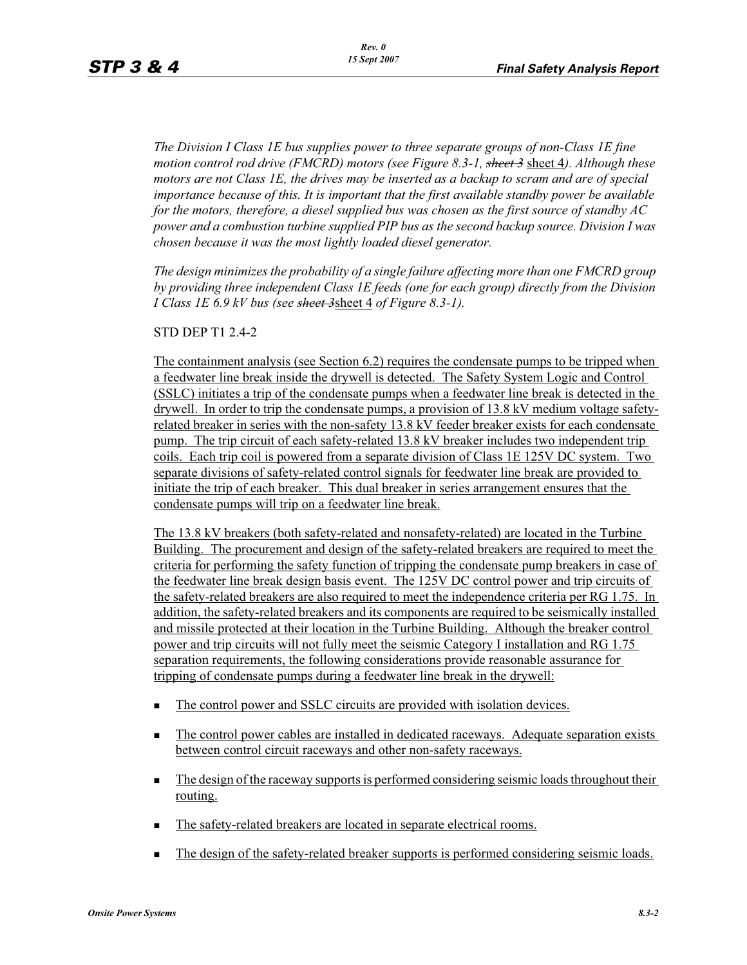*The Division I Class 1E bus supplies power to three separate groups of non-Class 1E fine motion control rod drive (FMCRD) motors (see Figure 8.3-1, sheet 3* sheet 4*). Although these motors are not Class 1E, the drives may be inserted as a backup to scram and are of special importance because of this. It is important that the first available standby power be available for the motors, therefore, a diesel supplied bus was chosen as the first source of standby AC power and a combustion turbine supplied PIP bus as the second backup source. Division I was chosen because it was the most lightly loaded diesel generator.*

*The design minimizes the probability of a single failure affecting more than one FMCRD group by providing three independent Class 1E feeds (one for each group) directly from the Division I Class 1E 6.9 kV bus (see sheet 3*sheet 4 *of Figure 8.3-1).*

STD DEP T1 2.4-2

The containment analysis (see Section 6.2) requires the condensate pumps to be tripped when a feedwater line break inside the drywell is detected. The Safety System Logic and Control (SSLC) initiates a trip of the condensate pumps when a feedwater line break is detected in the drywell. In order to trip the condensate pumps, a provision of 13.8 kV medium voltage safetyrelated breaker in series with the non-safety 13.8 kV feeder breaker exists for each condensate pump. The trip circuit of each safety-related 13.8 kV breaker includes two independent trip coils. Each trip coil is powered from a separate division of Class 1E 125V DC system. Two separate divisions of safety-related control signals for feedwater line break are provided to initiate the trip of each breaker. This dual breaker in series arrangement ensures that the condensate pumps will trip on a feedwater line break.

The 13.8 kV breakers (both safety-related and nonsafety-related) are located in the Turbine Building. The procurement and design of the safety-related breakers are required to meet the criteria for performing the safety function of tripping the condensate pump breakers in case of the feedwater line break design basis event. The 125V DC control power and trip circuits of the safety-related breakers are also required to meet the independence criteria per RG 1.75. In addition, the safety-related breakers and its components are required to be seismically installed and missile protected at their location in the Turbine Building. Although the breaker control power and trip circuits will not fully meet the seismic Category I installation and RG 1.75 separation requirements, the following considerations provide reasonable assurance for tripping of condensate pumps during a feedwater line break in the drywell:

- -The control power and SSLC circuits are provided with isolation devices.
- - The control power cables are installed in dedicated raceways. Adequate separation exists between control circuit raceways and other non-safety raceways.
- - The design of the raceway supports is performed considering seismic loads throughout their routing.
- -The safety-related breakers are located in separate electrical rooms.
- -The design of the safety-related breaker supports is performed considering seismic loads.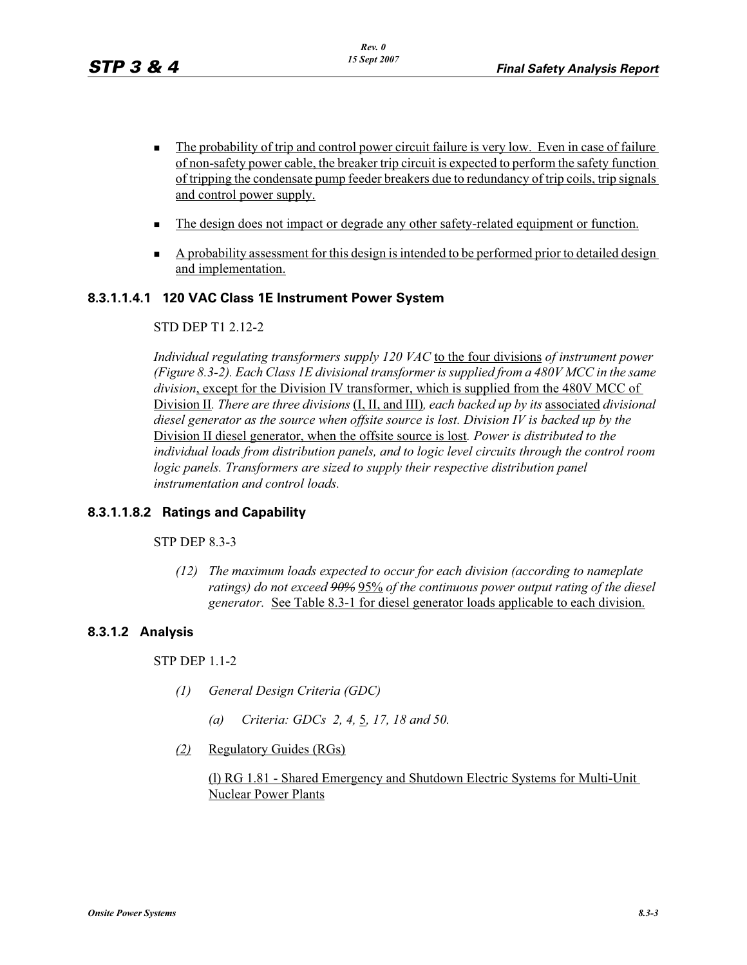- - The probability of trip and control power circuit failure is very low. Even in case of failure of non-safety power cable, the breaker trip circuit is expected to perform the safety function of tripping the condensate pump feeder breakers due to redundancy of trip coils, trip signals and control power supply.
- -The design does not impact or degrade any other safety-related equipment or function.
- A probability assessment for this design is intended to be performed prior to detailed design and implementation.

## **8.3.1.1.4.1 120 VAC Class 1E Instrument Power System**

## STD DEP T1 2.12-2

*Individual regulating transformers supply 120 VAC* to the four divisions *of instrument power (Figure 8.3-2). Each Class 1E divisional transformer is supplied from a 480V MCC in the same division*, except for the Division IV transformer, which is supplied from the 480V MCC of Division II*. There are three divisions* (I, II, and III)*, each backed up by its* associated *divisional diesel generator as the source when offsite source is lost. Division IV is backed up by the*  Division II diesel generator, when the offsite source is lost*. Power is distributed to the individual loads from distribution panels, and to logic level circuits through the control room*  logic panels. Transformers are sized to supply their respective distribution panel *instrumentation and control loads.*

## **8.3.1.1.8.2 Ratings and Capability**

## STP DEP 8.3-3

*(12) The maximum loads expected to occur for each division (according to nameplate ratings) do not exceed 90%* 95% *of the continuous power output rating of the diesel generator.* See Table 8.3-1 for diesel generator loads applicable to each division.

## **8.3.1.2 Analysis**

## STP DEP 1.1-2

- *(1) General Design Criteria (GDC)*
	- *(a) Criteria: GDCs 2, 4,* 5*, 17, 18 and 50.*
- *(2)* Regulatory Guides (RGs)

(l) RG 1.81 - Shared Emergency and Shutdown Electric Systems for Multi-Unit Nuclear Power Plants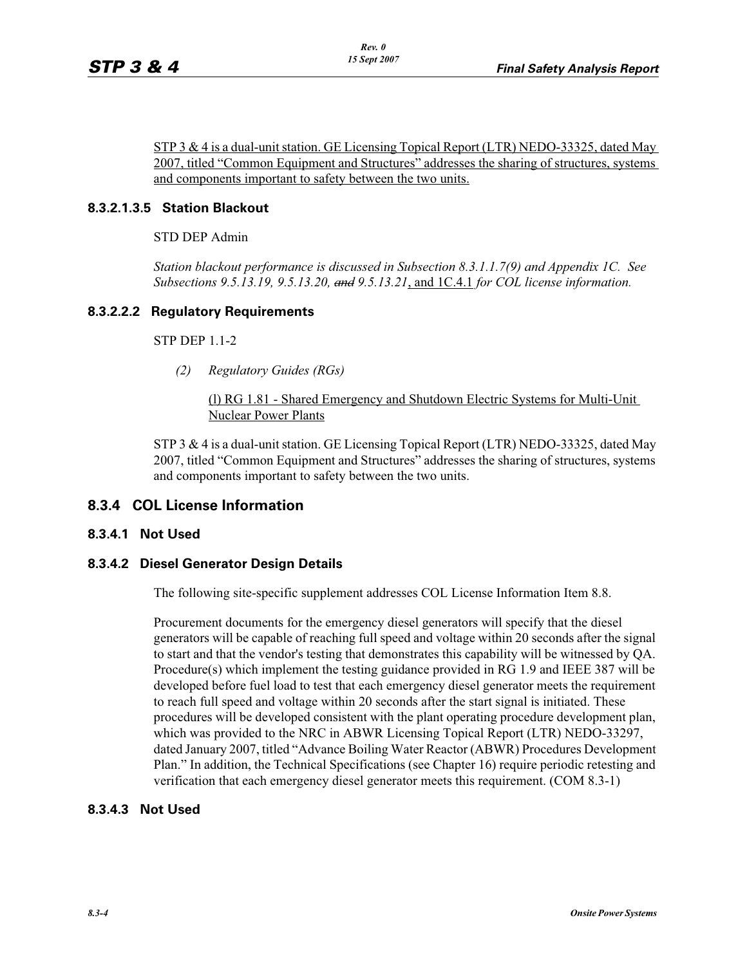STP 3 & 4 is a dual-unit station. GE Licensing Topical Report (LTR) NEDO-33325, dated May 2007, titled "Common Equipment and Structures" addresses the sharing of structures, systems and components important to safety between the two units.

## **8.3.2.1.3.5 Station Blackout**

STD DEP Admin

*Station blackout performance is discussed in Subsection 8.3.1.1.7(9) and Appendix 1C. See Subsections 9.5.13.19, 9.5.13.20, and 9.5.13.21*, and 1C.4.1 *for COL license information.*

## **8.3.2.2.2 Regulatory Requirements**

STP DEP 1.1-2

*(2) Regulatory Guides (RGs)*

(l) RG 1.81 - Shared Emergency and Shutdown Electric Systems for Multi-Unit Nuclear Power Plants

STP 3 & 4 is a dual-unit station. GE Licensing Topical Report (LTR) NEDO-33325, dated May 2007, titled "Common Equipment and Structures" addresses the sharing of structures, systems and components important to safety between the two units.

## **8.3.4 COL License Information**

## **8.3.4.1 Not Used**

## **8.3.4.2 Diesel Generator Design Details**

The following site-specific supplement addresses COL License Information Item 8.8.

Procurement documents for the emergency diesel generators will specify that the diesel generators will be capable of reaching full speed and voltage within 20 seconds after the signal to start and that the vendor's testing that demonstrates this capability will be witnessed by QA. Procedure(s) which implement the testing guidance provided in RG 1.9 and IEEE 387 will be developed before fuel load to test that each emergency diesel generator meets the requirement to reach full speed and voltage within 20 seconds after the start signal is initiated. These procedures will be developed consistent with the plant operating procedure development plan, which was provided to the NRC in ABWR Licensing Topical Report (LTR) NEDO-33297, dated January 2007, titled "Advance Boiling Water Reactor (ABWR) Procedures Development Plan." In addition, the Technical Specifications (see Chapter 16) require periodic retesting and verification that each emergency diesel generator meets this requirement. (COM 8.3-1)

## **8.3.4.3 Not Used**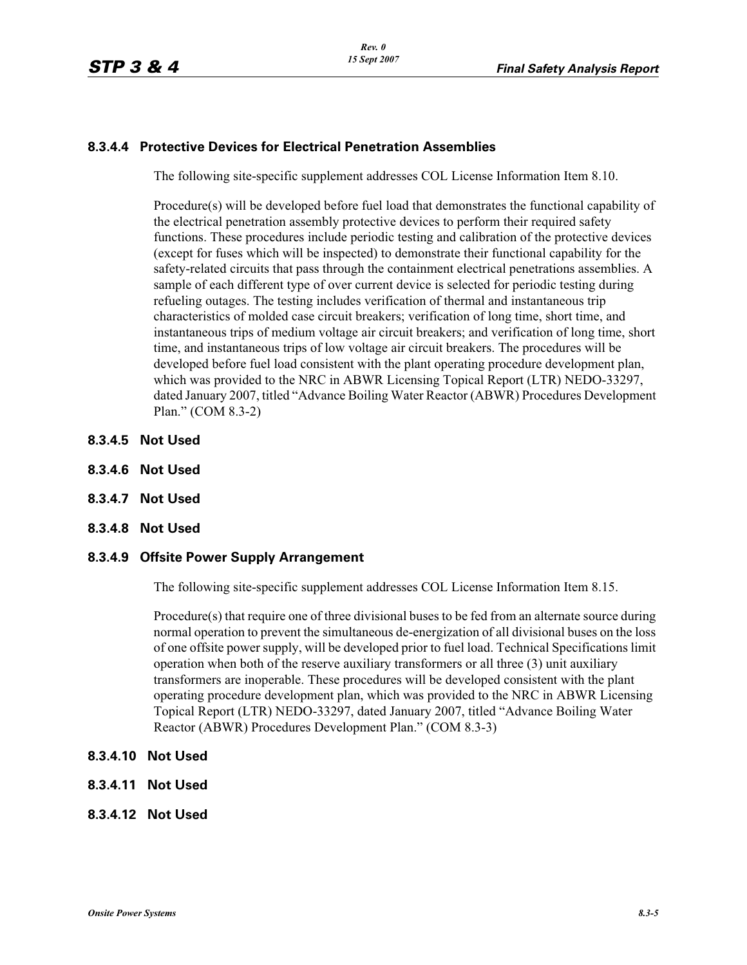## **8.3.4.4 Protective Devices for Electrical Penetration Assemblies**

The following site-specific supplement addresses COL License Information Item 8.10.

Procedure(s) will be developed before fuel load that demonstrates the functional capability of the electrical penetration assembly protective devices to perform their required safety functions. These procedures include periodic testing and calibration of the protective devices (except for fuses which will be inspected) to demonstrate their functional capability for the safety-related circuits that pass through the containment electrical penetrations assemblies. A sample of each different type of over current device is selected for periodic testing during refueling outages. The testing includes verification of thermal and instantaneous trip characteristics of molded case circuit breakers; verification of long time, short time, and instantaneous trips of medium voltage air circuit breakers; and verification of long time, short time, and instantaneous trips of low voltage air circuit breakers. The procedures will be developed before fuel load consistent with the plant operating procedure development plan, which was provided to the NRC in ABWR Licensing Topical Report (LTR) NEDO-33297, dated January 2007, titled "Advance Boiling Water Reactor (ABWR) Procedures Development Plan." (COM 8.3-2)

- **8.3.4.5 Not Used**
- **8.3.4.6 Not Used**
- **8.3.4.7 Not Used**
- **8.3.4.8 Not Used**

#### **8.3.4.9 Offsite Power Supply Arrangement**

The following site-specific supplement addresses COL License Information Item 8.15.

Procedure(s) that require one of three divisional buses to be fed from an alternate source during normal operation to prevent the simultaneous de-energization of all divisional buses on the loss of one offsite power supply, will be developed prior to fuel load. Technical Specifications limit operation when both of the reserve auxiliary transformers or all three (3) unit auxiliary transformers are inoperable. These procedures will be developed consistent with the plant operating procedure development plan, which was provided to the NRC in ABWR Licensing Topical Report (LTR) NEDO-33297, dated January 2007, titled "Advance Boiling Water Reactor (ABWR) Procedures Development Plan." (COM 8.3-3)

- **8.3.4.10 Not Used**
- **8.3.4.11 Not Used**
- **8.3.4.12 Not Used**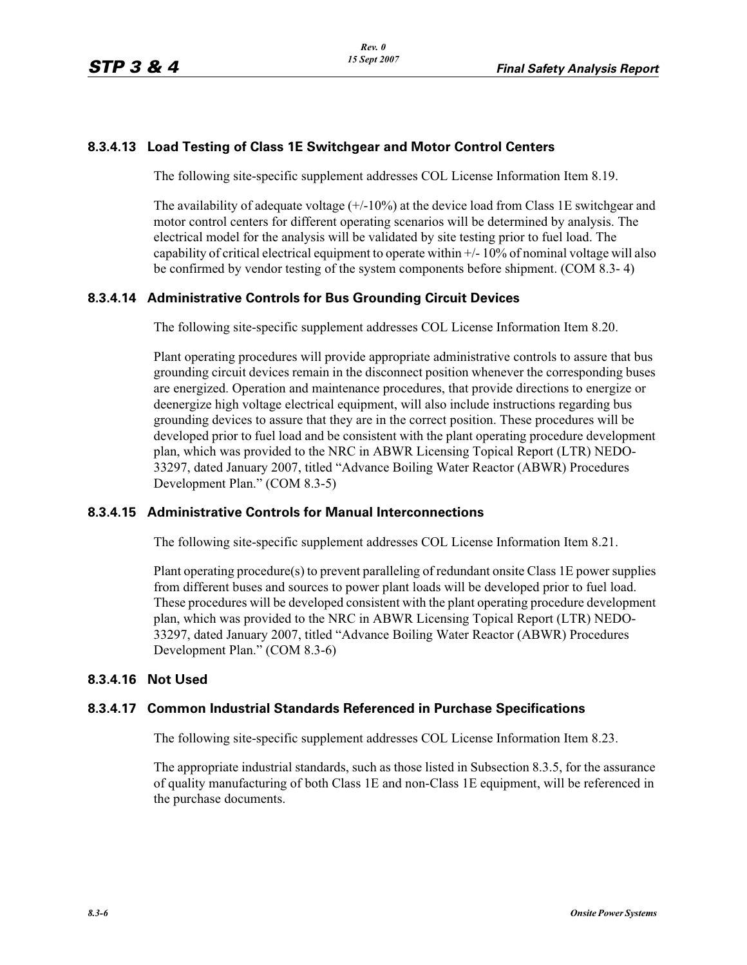## **8.3.4.13 Load Testing of Class 1E Switchgear and Motor Control Centers**

The following site-specific supplement addresses COL License Information Item 8.19.

The availability of adequate voltage  $(+/-10\%)$  at the device load from Class 1E switchgear and motor control centers for different operating scenarios will be determined by analysis. The electrical model for the analysis will be validated by site testing prior to fuel load. The capability of critical electrical equipment to operate within +/- 10% of nominal voltage will also be confirmed by vendor testing of the system components before shipment. (COM 8.3- 4)

## **8.3.4.14 Administrative Controls for Bus Grounding Circuit Devices**

The following site-specific supplement addresses COL License Information Item 8.20.

Plant operating procedures will provide appropriate administrative controls to assure that bus grounding circuit devices remain in the disconnect position whenever the corresponding buses are energized. Operation and maintenance procedures, that provide directions to energize or deenergize high voltage electrical equipment, will also include instructions regarding bus grounding devices to assure that they are in the correct position. These procedures will be developed prior to fuel load and be consistent with the plant operating procedure development plan, which was provided to the NRC in ABWR Licensing Topical Report (LTR) NEDO-33297, dated January 2007, titled "Advance Boiling Water Reactor (ABWR) Procedures Development Plan." (COM 8.3-5)

## **8.3.4.15 Administrative Controls for Manual Interconnections**

The following site-specific supplement addresses COL License Information Item 8.21.

Plant operating procedure(s) to prevent paralleling of redundant onsite Class 1E power supplies from different buses and sources to power plant loads will be developed prior to fuel load. These procedures will be developed consistent with the plant operating procedure development plan, which was provided to the NRC in ABWR Licensing Topical Report (LTR) NEDO-33297, dated January 2007, titled "Advance Boiling Water Reactor (ABWR) Procedures Development Plan." (COM 8.3-6)

## **8.3.4.16 Not Used**

## **8.3.4.17 Common Industrial Standards Referenced in Purchase Specifications**

The following site-specific supplement addresses COL License Information Item 8.23.

The appropriate industrial standards, such as those listed in Subsection 8.3.5, for the assurance of quality manufacturing of both Class 1E and non-Class 1E equipment, will be referenced in the purchase documents.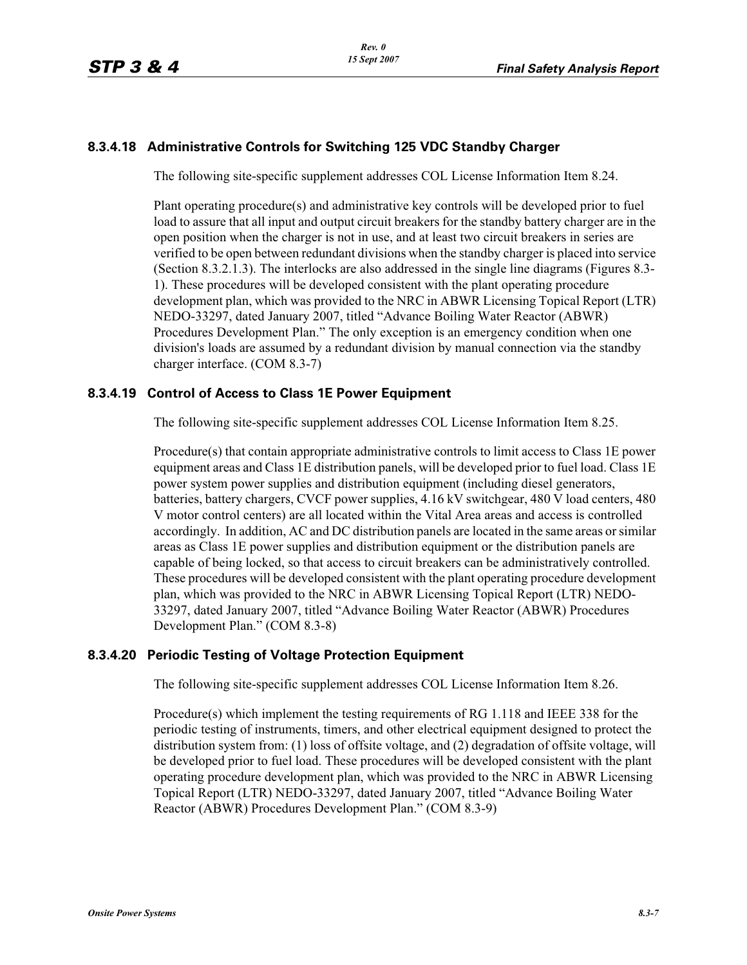## **8.3.4.18 Administrative Controls for Switching 125 VDC Standby Charger**

The following site-specific supplement addresses COL License Information Item 8.24.

Plant operating procedure(s) and administrative key controls will be developed prior to fuel load to assure that all input and output circuit breakers for the standby battery charger are in the open position when the charger is not in use, and at least two circuit breakers in series are verified to be open between redundant divisions when the standby charger is placed into service (Section 8.3.2.1.3). The interlocks are also addressed in the single line diagrams (Figures 8.3- 1). These procedures will be developed consistent with the plant operating procedure development plan, which was provided to the NRC in ABWR Licensing Topical Report (LTR) NEDO-33297, dated January 2007, titled "Advance Boiling Water Reactor (ABWR) Procedures Development Plan." The only exception is an emergency condition when one division's loads are assumed by a redundant division by manual connection via the standby charger interface. (COM 8.3-7)

## **8.3.4.19 Control of Access to Class 1E Power Equipment**

The following site-specific supplement addresses COL License Information Item 8.25.

Procedure(s) that contain appropriate administrative controls to limit access to Class 1E power equipment areas and Class 1E distribution panels, will be developed prior to fuel load. Class 1E power system power supplies and distribution equipment (including diesel generators, batteries, battery chargers, CVCF power supplies, 4.16 kV switchgear, 480 V load centers, 480 V motor control centers) are all located within the Vital Area areas and access is controlled accordingly. In addition, AC and DC distribution panels are located in the same areas or similar areas as Class 1E power supplies and distribution equipment or the distribution panels are capable of being locked, so that access to circuit breakers can be administratively controlled. These procedures will be developed consistent with the plant operating procedure development plan, which was provided to the NRC in ABWR Licensing Topical Report (LTR) NEDO-33297, dated January 2007, titled "Advance Boiling Water Reactor (ABWR) Procedures Development Plan." (COM 8.3-8)

## **8.3.4.20 Periodic Testing of Voltage Protection Equipment**

The following site-specific supplement addresses COL License Information Item 8.26.

Procedure(s) which implement the testing requirements of RG 1.118 and IEEE 338 for the periodic testing of instruments, timers, and other electrical equipment designed to protect the distribution system from: (1) loss of offsite voltage, and (2) degradation of offsite voltage, will be developed prior to fuel load. These procedures will be developed consistent with the plant operating procedure development plan, which was provided to the NRC in ABWR Licensing Topical Report (LTR) NEDO-33297, dated January 2007, titled "Advance Boiling Water Reactor (ABWR) Procedures Development Plan." (COM 8.3-9)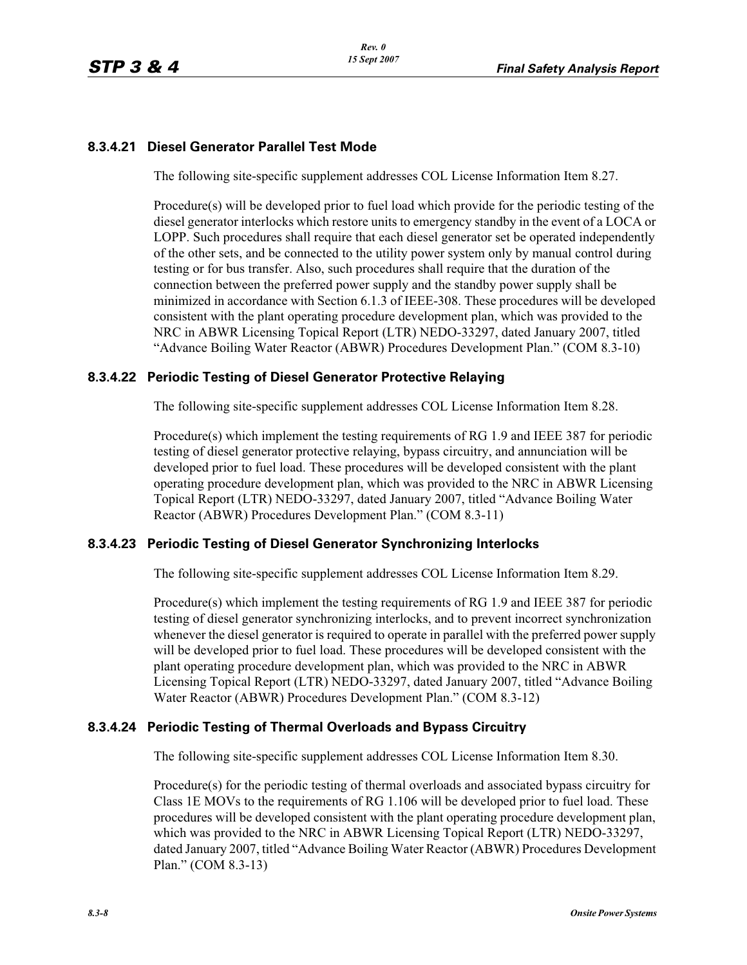## **8.3.4.21 Diesel Generator Parallel Test Mode**

The following site-specific supplement addresses COL License Information Item 8.27.

Procedure(s) will be developed prior to fuel load which provide for the periodic testing of the diesel generator interlocks which restore units to emergency standby in the event of a LOCA or LOPP. Such procedures shall require that each diesel generator set be operated independently of the other sets, and be connected to the utility power system only by manual control during testing or for bus transfer. Also, such procedures shall require that the duration of the connection between the preferred power supply and the standby power supply shall be minimized in accordance with Section 6.1.3 of IEEE-308. These procedures will be developed consistent with the plant operating procedure development plan, which was provided to the NRC in ABWR Licensing Topical Report (LTR) NEDO-33297, dated January 2007, titled "Advance Boiling Water Reactor (ABWR) Procedures Development Plan." (COM 8.3-10)

## **8.3.4.22 Periodic Testing of Diesel Generator Protective Relaying**

The following site-specific supplement addresses COL License Information Item 8.28.

Procedure(s) which implement the testing requirements of RG 1.9 and IEEE 387 for periodic testing of diesel generator protective relaying, bypass circuitry, and annunciation will be developed prior to fuel load. These procedures will be developed consistent with the plant operating procedure development plan, which was provided to the NRC in ABWR Licensing Topical Report (LTR) NEDO-33297, dated January 2007, titled "Advance Boiling Water Reactor (ABWR) Procedures Development Plan." (COM 8.3-11)

## **8.3.4.23 Periodic Testing of Diesel Generator Synchronizing Interlocks**

The following site-specific supplement addresses COL License Information Item 8.29.

Procedure(s) which implement the testing requirements of RG 1.9 and IEEE 387 for periodic testing of diesel generator synchronizing interlocks, and to prevent incorrect synchronization whenever the diesel generator is required to operate in parallel with the preferred power supply will be developed prior to fuel load. These procedures will be developed consistent with the plant operating procedure development plan, which was provided to the NRC in ABWR Licensing Topical Report (LTR) NEDO-33297, dated January 2007, titled "Advance Boiling Water Reactor (ABWR) Procedures Development Plan." (COM 8.3-12)

## **8.3.4.24 Periodic Testing of Thermal Overloads and Bypass Circuitry**

The following site-specific supplement addresses COL License Information Item 8.30.

Procedure(s) for the periodic testing of thermal overloads and associated bypass circuitry for Class 1E MOVs to the requirements of RG 1.106 will be developed prior to fuel load. These procedures will be developed consistent with the plant operating procedure development plan, which was provided to the NRC in ABWR Licensing Topical Report (LTR) NEDO-33297, dated January 2007, titled "Advance Boiling Water Reactor (ABWR) Procedures Development Plan." (COM 8.3-13)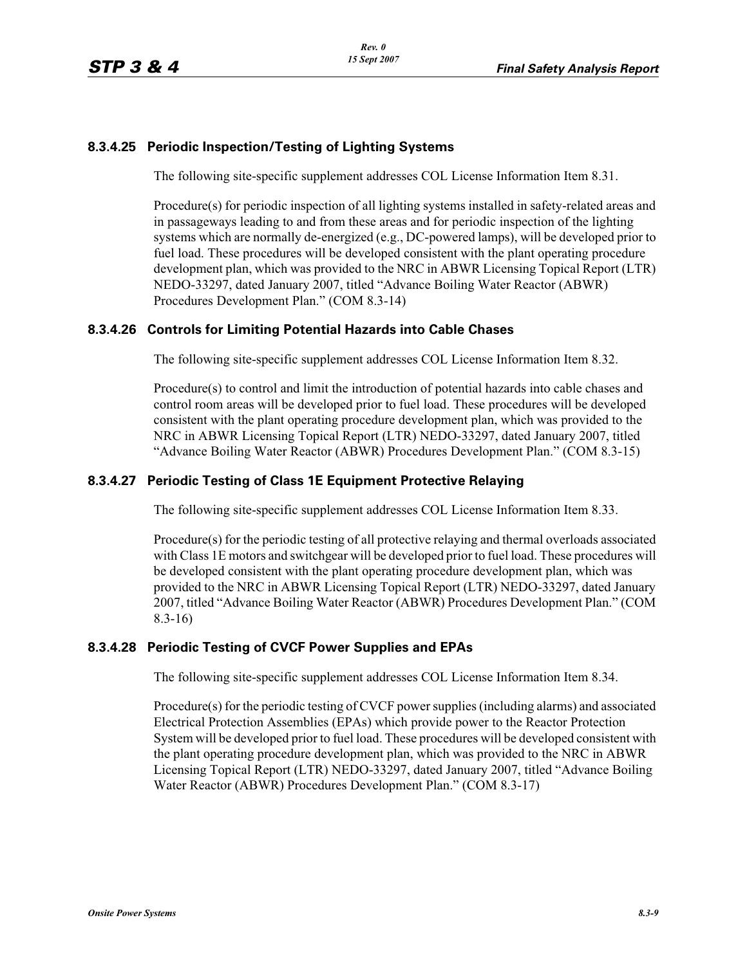## **8.3.4.25 Periodic Inspection/Testing of Lighting Systems**

The following site-specific supplement addresses COL License Information Item 8.31.

Procedure(s) for periodic inspection of all lighting systems installed in safety-related areas and in passageways leading to and from these areas and for periodic inspection of the lighting systems which are normally de-energized (e.g., DC-powered lamps), will be developed prior to fuel load. These procedures will be developed consistent with the plant operating procedure development plan, which was provided to the NRC in ABWR Licensing Topical Report (LTR) NEDO-33297, dated January 2007, titled "Advance Boiling Water Reactor (ABWR) Procedures Development Plan." (COM 8.3-14)

## **8.3.4.26 Controls for Limiting Potential Hazards into Cable Chases**

The following site-specific supplement addresses COL License Information Item 8.32.

Procedure(s) to control and limit the introduction of potential hazards into cable chases and control room areas will be developed prior to fuel load. These procedures will be developed consistent with the plant operating procedure development plan, which was provided to the NRC in ABWR Licensing Topical Report (LTR) NEDO-33297, dated January 2007, titled "Advance Boiling Water Reactor (ABWR) Procedures Development Plan." (COM 8.3-15)

## **8.3.4.27 Periodic Testing of Class 1E Equipment Protective Relaying**

The following site-specific supplement addresses COL License Information Item 8.33.

Procedure(s) for the periodic testing of all protective relaying and thermal overloads associated with Class 1E motors and switchgear will be developed prior to fuel load. These procedures will be developed consistent with the plant operating procedure development plan, which was provided to the NRC in ABWR Licensing Topical Report (LTR) NEDO-33297, dated January 2007, titled "Advance Boiling Water Reactor (ABWR) Procedures Development Plan." (COM 8.3-16)

## **8.3.4.28 Periodic Testing of CVCF Power Supplies and EPAs**

The following site-specific supplement addresses COL License Information Item 8.34.

Procedure(s) for the periodic testing of CVCF power supplies (including alarms) and associated Electrical Protection Assemblies (EPAs) which provide power to the Reactor Protection System will be developed prior to fuel load. These procedures will be developed consistent with the plant operating procedure development plan, which was provided to the NRC in ABWR Licensing Topical Report (LTR) NEDO-33297, dated January 2007, titled "Advance Boiling Water Reactor (ABWR) Procedures Development Plan." (COM 8.3-17)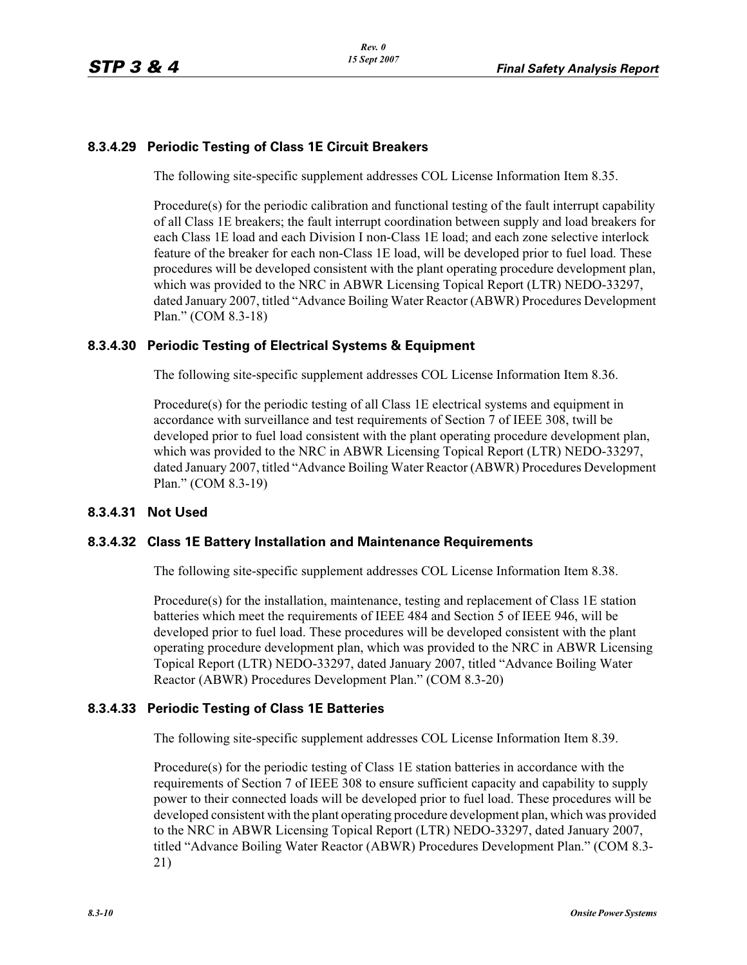## **8.3.4.29 Periodic Testing of Class 1E Circuit Breakers**

The following site-specific supplement addresses COL License Information Item 8.35.

Procedure(s) for the periodic calibration and functional testing of the fault interrupt capability of all Class 1E breakers; the fault interrupt coordination between supply and load breakers for each Class 1E load and each Division I non-Class 1E load; and each zone selective interlock feature of the breaker for each non-Class 1E load, will be developed prior to fuel load. These procedures will be developed consistent with the plant operating procedure development plan, which was provided to the NRC in ABWR Licensing Topical Report (LTR) NEDO-33297, dated January 2007, titled "Advance Boiling Water Reactor (ABWR) Procedures Development Plan." (COM 8.3-18)

## **8.3.4.30 Periodic Testing of Electrical Systems & Equipment**

The following site-specific supplement addresses COL License Information Item 8.36.

Procedure(s) for the periodic testing of all Class 1E electrical systems and equipment in accordance with surveillance and test requirements of Section 7 of IEEE 308, twill be developed prior to fuel load consistent with the plant operating procedure development plan, which was provided to the NRC in ABWR Licensing Topical Report (LTR) NEDO-33297, dated January 2007, titled "Advance Boiling Water Reactor (ABWR) Procedures Development Plan." (COM 8.3-19)

## **8.3.4.31 Not Used**

## **8.3.4.32 Class 1E Battery Installation and Maintenance Requirements**

The following site-specific supplement addresses COL License Information Item 8.38.

Procedure(s) for the installation, maintenance, testing and replacement of Class 1E station batteries which meet the requirements of IEEE 484 and Section 5 of IEEE 946, will be developed prior to fuel load. These procedures will be developed consistent with the plant operating procedure development plan, which was provided to the NRC in ABWR Licensing Topical Report (LTR) NEDO-33297, dated January 2007, titled "Advance Boiling Water Reactor (ABWR) Procedures Development Plan." (COM 8.3-20)

## **8.3.4.33 Periodic Testing of Class 1E Batteries**

The following site-specific supplement addresses COL License Information Item 8.39.

Procedure(s) for the periodic testing of Class 1E station batteries in accordance with the requirements of Section 7 of IEEE 308 to ensure sufficient capacity and capability to supply power to their connected loads will be developed prior to fuel load. These procedures will be developed consistent with the plant operating procedure development plan, which was provided to the NRC in ABWR Licensing Topical Report (LTR) NEDO-33297, dated January 2007, titled "Advance Boiling Water Reactor (ABWR) Procedures Development Plan." (COM 8.3- 21)